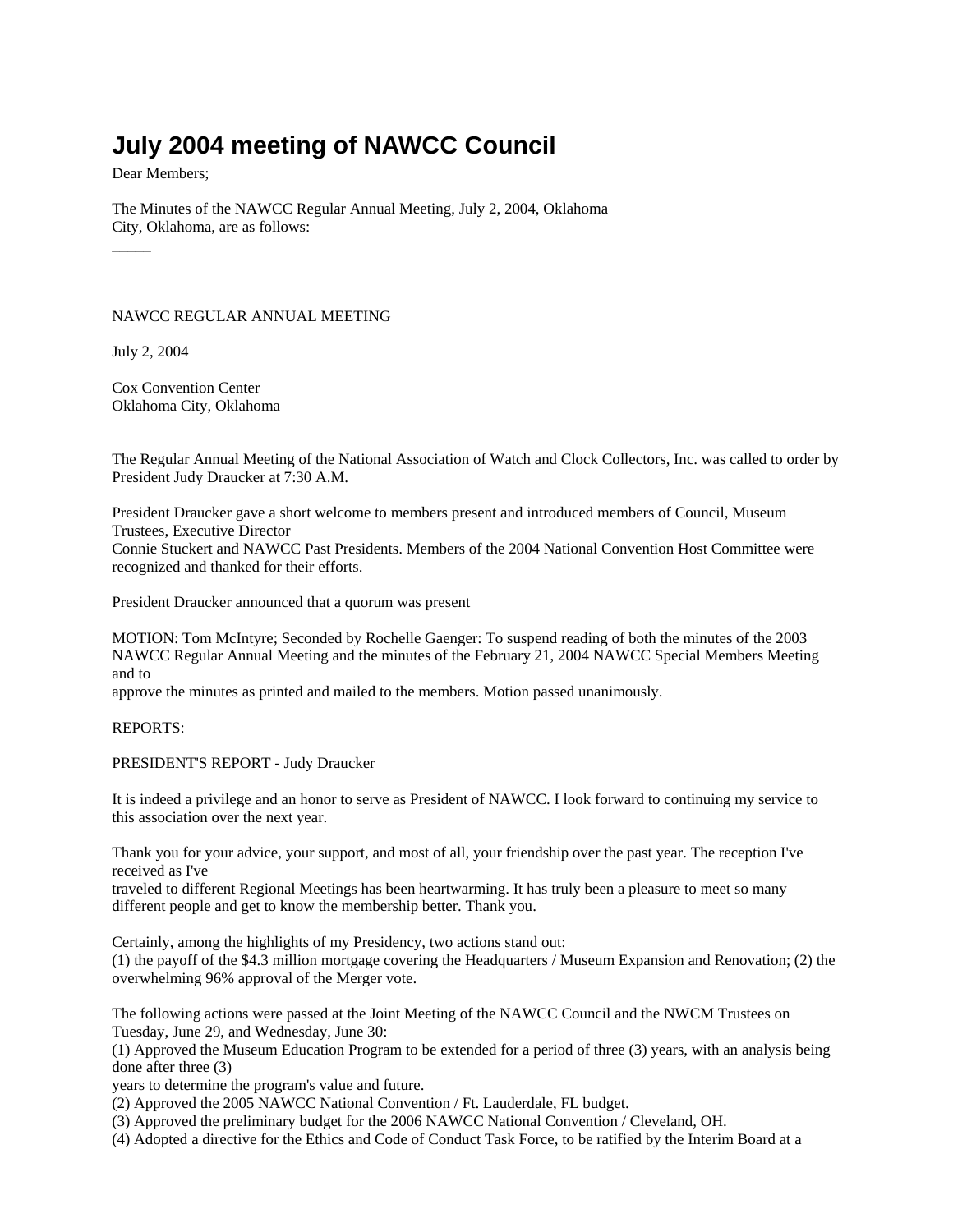## **July 2004 meeting of NAWCC Council**

Dear Members;

The Minutes of the NAWCC Regular Annual Meeting, July 2, 2004, Oklahoma City, Oklahoma, are as follows:  $\overline{\phantom{a}}$ 

NAWCC REGULAR ANNUAL MEETING

July 2, 2004

Cox Convention Center Oklahoma City, Oklahoma

The Regular Annual Meeting of the National Association of Watch and Clock Collectors, Inc. was called to order by President Judy Draucker at 7:30 A.M.

President Draucker gave a short welcome to members present and introduced members of Council, Museum Trustees, Executive Director

Connie Stuckert and NAWCC Past Presidents. Members of the 2004 National Convention Host Committee were recognized and thanked for their efforts.

President Draucker announced that a quorum was present

MOTION: Tom McIntyre; Seconded by Rochelle Gaenger: To suspend reading of both the minutes of the 2003 NAWCC Regular Annual Meeting and the minutes of the February 21, 2004 NAWCC Special Members Meeting and to

approve the minutes as printed and mailed to the members. Motion passed unanimously.

REPORTS:

PRESIDENT'S REPORT - Judy Draucker

It is indeed a privilege and an honor to serve as President of NAWCC. I look forward to continuing my service to this association over the next year.

Thank you for your advice, your support, and most of all, your friendship over the past year. The reception I've received as I've

traveled to different Regional Meetings has been heartwarming. It has truly been a pleasure to meet so many different people and get to know the membership better. Thank you.

Certainly, among the highlights of my Presidency, two actions stand out:

(1) the payoff of the \$4.3 million mortgage covering the Headquarters / Museum Expansion and Renovation; (2) the overwhelming 96% approval of the Merger vote.

The following actions were passed at the Joint Meeting of the NAWCC Council and the NWCM Trustees on Tuesday, June 29, and Wednesday, June 30:

(1) Approved the Museum Education Program to be extended for a period of three (3) years, with an analysis being done after three (3)

years to determine the program's value and future.

(2) Approved the 2005 NAWCC National Convention / Ft. Lauderdale, FL budget.

(3) Approved the preliminary budget for the 2006 NAWCC National Convention / Cleveland, OH.

(4) Adopted a directive for the Ethics and Code of Conduct Task Force, to be ratified by the Interim Board at a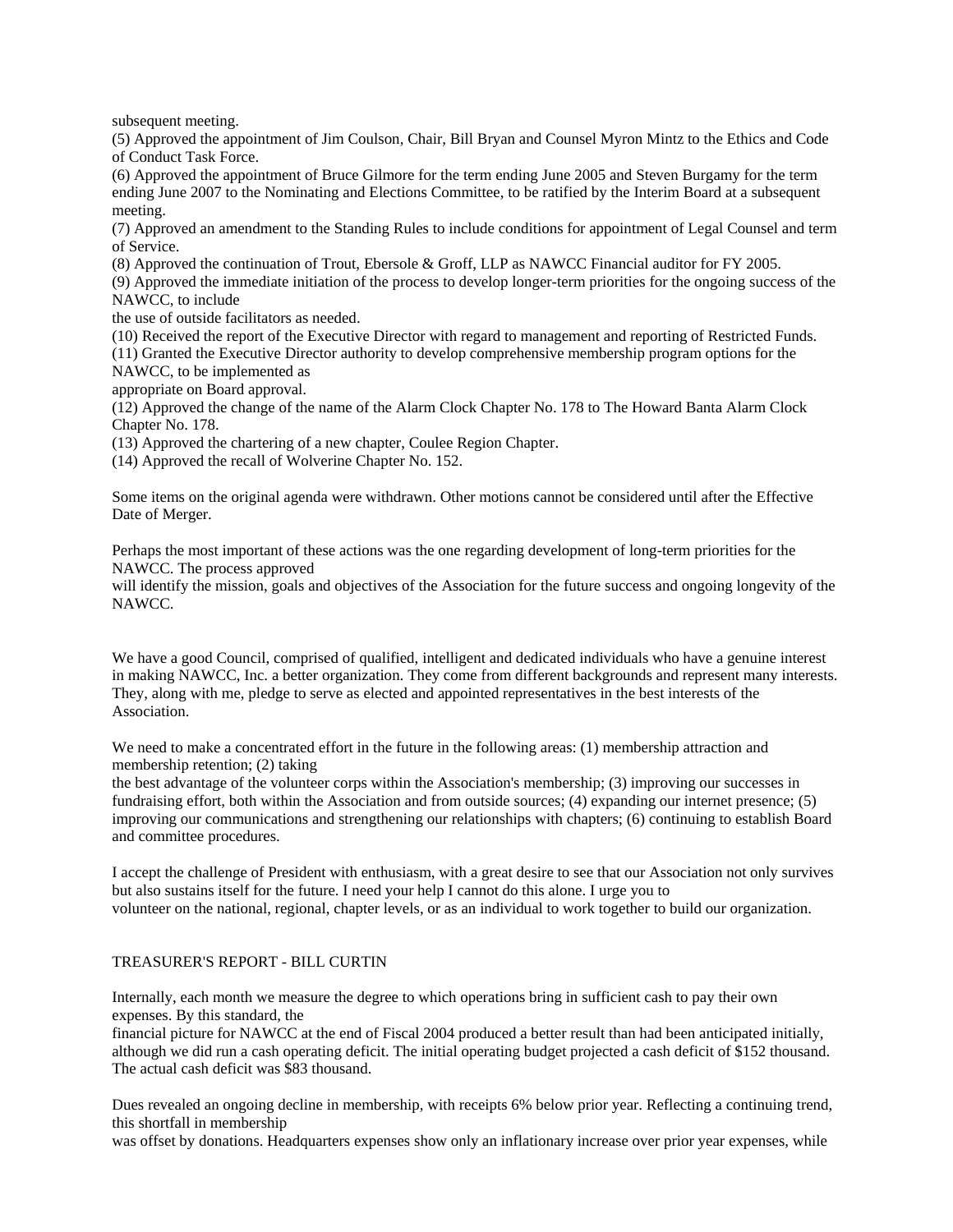subsequent meeting.

(5) Approved the appointment of Jim Coulson, Chair, Bill Bryan and Counsel Myron Mintz to the Ethics and Code of Conduct Task Force.

(6) Approved the appointment of Bruce Gilmore for the term ending June 2005 and Steven Burgamy for the term ending June 2007 to the Nominating and Elections Committee, to be ratified by the Interim Board at a subsequent meeting.

(7) Approved an amendment to the Standing Rules to include conditions for appointment of Legal Counsel and term of Service.

(8) Approved the continuation of Trout, Ebersole & Groff, LLP as NAWCC Financial auditor for FY 2005.

(9) Approved the immediate initiation of the process to develop longer-term priorities for the ongoing success of the NAWCC, to include

the use of outside facilitators as needed.

(10) Received the report of the Executive Director with regard to management and reporting of Restricted Funds.

(11) Granted the Executive Director authority to develop comprehensive membership program options for the NAWCC, to be implemented as

appropriate on Board approval.

(12) Approved the change of the name of the Alarm Clock Chapter No. 178 to The Howard Banta Alarm Clock Chapter No. 178.

(13) Approved the chartering of a new chapter, Coulee Region Chapter.

(14) Approved the recall of Wolverine Chapter No. 152.

Some items on the original agenda were withdrawn. Other motions cannot be considered until after the Effective Date of Merger.

Perhaps the most important of these actions was the one regarding development of long-term priorities for the NAWCC. The process approved

will identify the mission, goals and objectives of the Association for the future success and ongoing longevity of the NAWCC.

We have a good Council, comprised of qualified, intelligent and dedicated individuals who have a genuine interest in making NAWCC, Inc. a better organization. They come from different backgrounds and represent many interests. They, along with me, pledge to serve as elected and appointed representatives in the best interests of the Association.

We need to make a concentrated effort in the future in the following areas: (1) membership attraction and membership retention; (2) taking

the best advantage of the volunteer corps within the Association's membership; (3) improving our successes in fundraising effort, both within the Association and from outside sources; (4) expanding our internet presence; (5) improving our communications and strengthening our relationships with chapters; (6) continuing to establish Board and committee procedures.

I accept the challenge of President with enthusiasm, with a great desire to see that our Association not only survives but also sustains itself for the future. I need your help I cannot do this alone. I urge you to volunteer on the national, regional, chapter levels, or as an individual to work together to build our organization.

## TREASURER'S REPORT - BILL CURTIN

Internally, each month we measure the degree to which operations bring in sufficient cash to pay their own expenses. By this standard, the

financial picture for NAWCC at the end of Fiscal 2004 produced a better result than had been anticipated initially, although we did run a cash operating deficit. The initial operating budget projected a cash deficit of \$152 thousand. The actual cash deficit was \$83 thousand.

Dues revealed an ongoing decline in membership, with receipts 6% below prior year. Reflecting a continuing trend, this shortfall in membership

was offset by donations. Headquarters expenses show only an inflationary increase over prior year expenses, while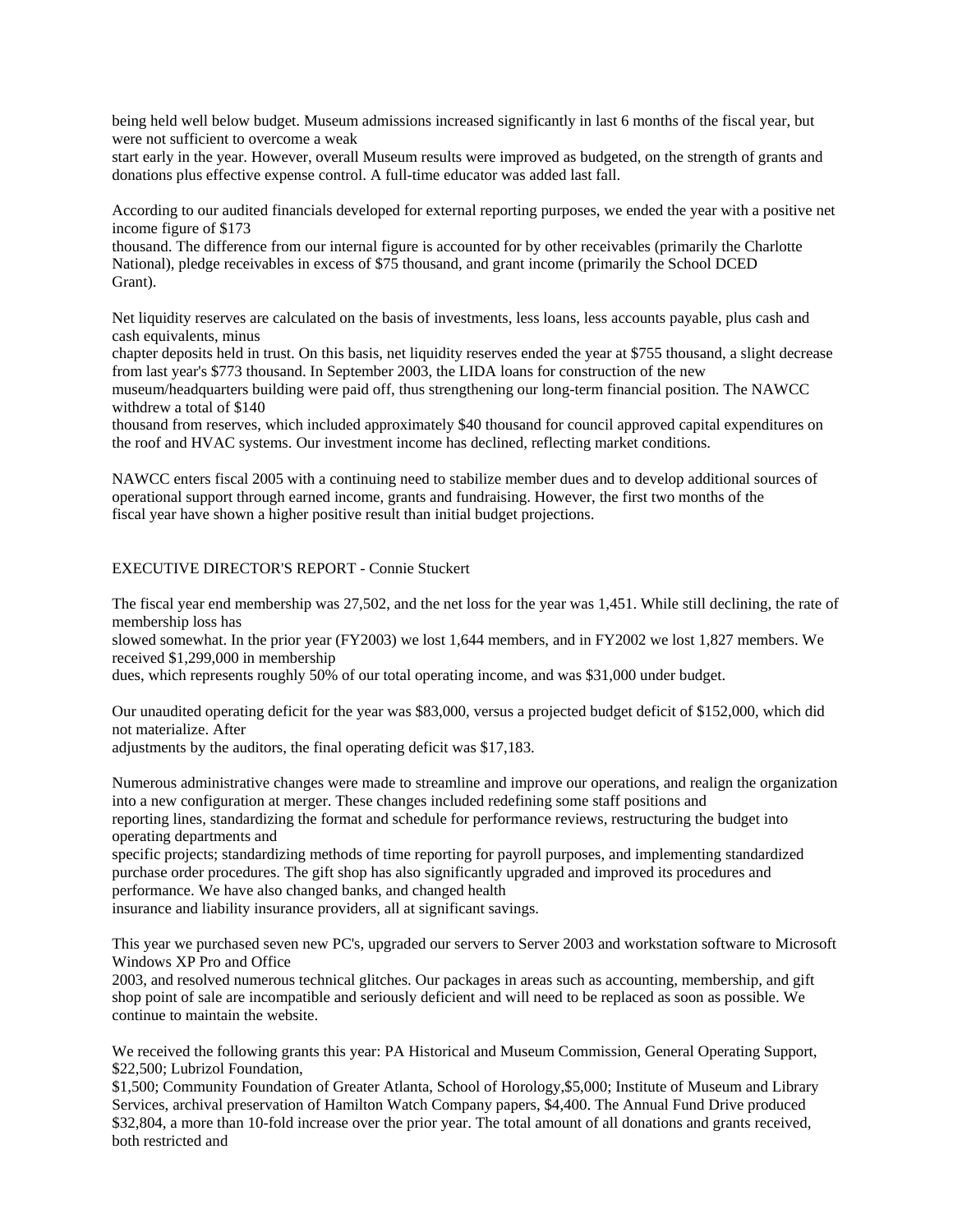being held well below budget. Museum admissions increased significantly in last 6 months of the fiscal year, but were not sufficient to overcome a weak

start early in the year. However, overall Museum results were improved as budgeted, on the strength of grants and donations plus effective expense control. A full-time educator was added last fall.

According to our audited financials developed for external reporting purposes, we ended the year with a positive net income figure of \$173

thousand. The difference from our internal figure is accounted for by other receivables (primarily the Charlotte National), pledge receivables in excess of \$75 thousand, and grant income (primarily the School DCED Grant).

Net liquidity reserves are calculated on the basis of investments, less loans, less accounts payable, plus cash and cash equivalents, minus

chapter deposits held in trust. On this basis, net liquidity reserves ended the year at \$755 thousand, a slight decrease from last year's \$773 thousand. In September 2003, the LIDA loans for construction of the new museum/headquarters building were paid off, thus strengthening our long-term financial position. The NAWCC withdrew a total of \$140

thousand from reserves, which included approximately \$40 thousand for council approved capital expenditures on the roof and HVAC systems. Our investment income has declined, reflecting market conditions.

NAWCC enters fiscal 2005 with a continuing need to stabilize member dues and to develop additional sources of operational support through earned income, grants and fundraising. However, the first two months of the fiscal year have shown a higher positive result than initial budget projections.

## EXECUTIVE DIRECTOR'S REPORT - Connie Stuckert

The fiscal year end membership was 27,502, and the net loss for the year was 1,451. While still declining, the rate of membership loss has

slowed somewhat. In the prior year (FY2003) we lost 1,644 members, and in FY2002 we lost 1,827 members. We received \$1,299,000 in membership

dues, which represents roughly 50% of our total operating income, and was \$31,000 under budget.

Our unaudited operating deficit for the year was \$83,000, versus a projected budget deficit of \$152,000, which did not materialize. After

adjustments by the auditors, the final operating deficit was \$17,183.

Numerous administrative changes were made to streamline and improve our operations, and realign the organization into a new configuration at merger. These changes included redefining some staff positions and reporting lines, standardizing the format and schedule for performance reviews, restructuring the budget into operating departments and

specific projects; standardizing methods of time reporting for payroll purposes, and implementing standardized purchase order procedures. The gift shop has also significantly upgraded and improved its procedures and performance. We have also changed banks, and changed health

insurance and liability insurance providers, all at significant savings.

This year we purchased seven new PC's, upgraded our servers to Server 2003 and workstation software to Microsoft Windows XP Pro and Office

2003, and resolved numerous technical glitches. Our packages in areas such as accounting, membership, and gift shop point of sale are incompatible and seriously deficient and will need to be replaced as soon as possible. We continue to maintain the website.

We received the following grants this year: PA Historical and Museum Commission, General Operating Support, \$22,500; Lubrizol Foundation,

\$1,500; Community Foundation of Greater Atlanta, School of Horology,\$5,000; Institute of Museum and Library Services, archival preservation of Hamilton Watch Company papers, \$4,400. The Annual Fund Drive produced \$32,804, a more than 10-fold increase over the prior year. The total amount of all donations and grants received, both restricted and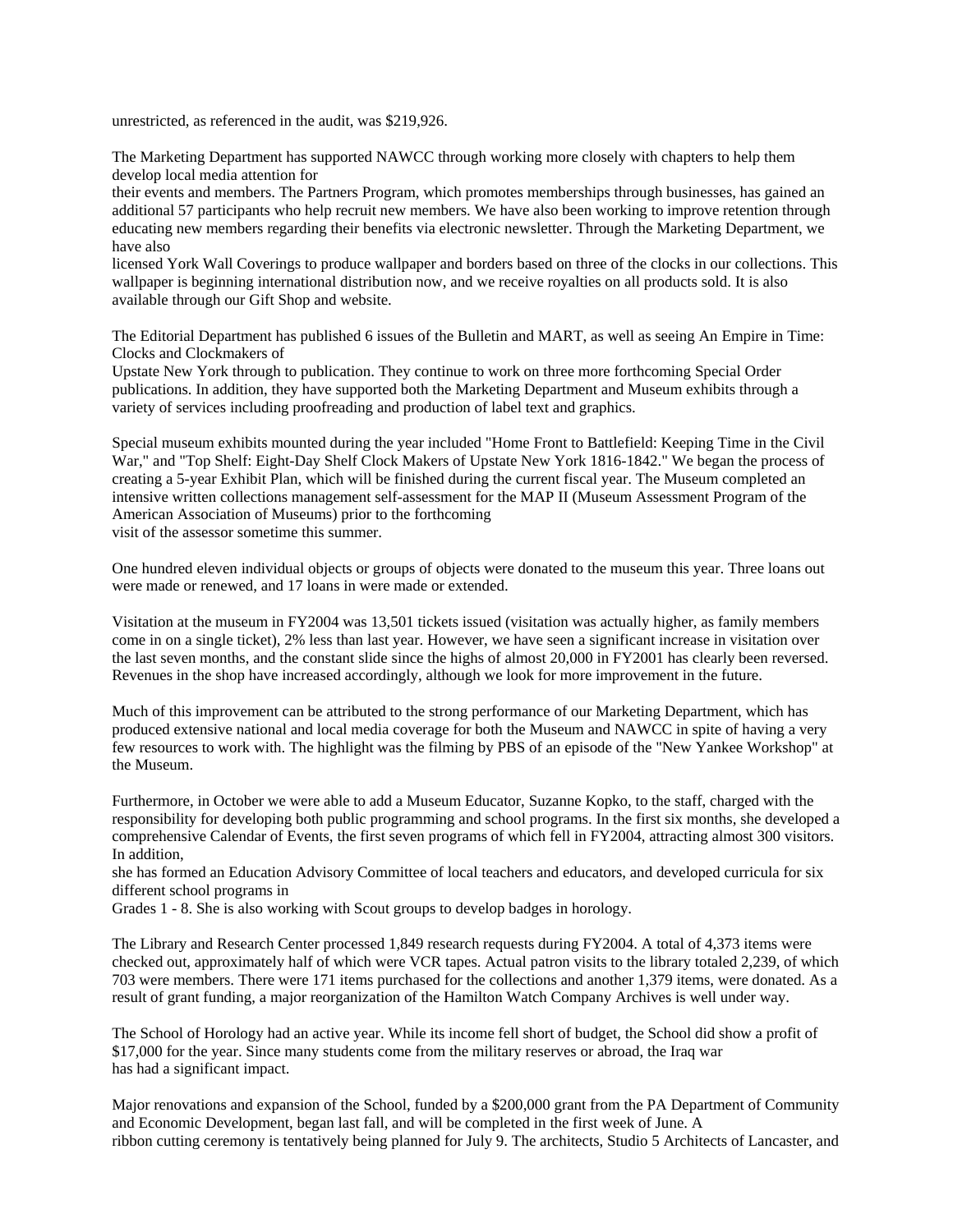unrestricted, as referenced in the audit, was \$219,926.

The Marketing Department has supported NAWCC through working more closely with chapters to help them develop local media attention for

their events and members. The Partners Program, which promotes memberships through businesses, has gained an additional 57 participants who help recruit new members. We have also been working to improve retention through educating new members regarding their benefits via electronic newsletter. Through the Marketing Department, we have also

licensed York Wall Coverings to produce wallpaper and borders based on three of the clocks in our collections. This wallpaper is beginning international distribution now, and we receive royalties on all products sold. It is also available through our Gift Shop and website.

The Editorial Department has published 6 issues of the Bulletin and MART, as well as seeing An Empire in Time: Clocks and Clockmakers of

Upstate New York through to publication. They continue to work on three more forthcoming Special Order publications. In addition, they have supported both the Marketing Department and Museum exhibits through a variety of services including proofreading and production of label text and graphics.

Special museum exhibits mounted during the year included "Home Front to Battlefield: Keeping Time in the Civil War," and "Top Shelf: Eight-Day Shelf Clock Makers of Upstate New York 1816-1842." We began the process of creating a 5-year Exhibit Plan, which will be finished during the current fiscal year. The Museum completed an intensive written collections management self-assessment for the MAP II (Museum Assessment Program of the American Association of Museums) prior to the forthcoming visit of the assessor sometime this summer.

One hundred eleven individual objects or groups of objects were donated to the museum this year. Three loans out were made or renewed, and 17 loans in were made or extended.

Visitation at the museum in FY2004 was 13,501 tickets issued (visitation was actually higher, as family members come in on a single ticket), 2% less than last year. However, we have seen a significant increase in visitation over the last seven months, and the constant slide since the highs of almost 20,000 in FY2001 has clearly been reversed. Revenues in the shop have increased accordingly, although we look for more improvement in the future.

Much of this improvement can be attributed to the strong performance of our Marketing Department, which has produced extensive national and local media coverage for both the Museum and NAWCC in spite of having a very few resources to work with. The highlight was the filming by PBS of an episode of the "New Yankee Workshop" at the Museum.

Furthermore, in October we were able to add a Museum Educator, Suzanne Kopko, to the staff, charged with the responsibility for developing both public programming and school programs. In the first six months, she developed a comprehensive Calendar of Events, the first seven programs of which fell in FY2004, attracting almost 300 visitors. In addition,

she has formed an Education Advisory Committee of local teachers and educators, and developed curricula for six different school programs in

Grades 1 - 8. She is also working with Scout groups to develop badges in horology.

The Library and Research Center processed 1,849 research requests during FY2004. A total of 4,373 items were checked out, approximately half of which were VCR tapes. Actual patron visits to the library totaled 2,239, of which 703 were members. There were 171 items purchased for the collections and another 1,379 items, were donated. As a result of grant funding, a major reorganization of the Hamilton Watch Company Archives is well under way.

The School of Horology had an active year. While its income fell short of budget, the School did show a profit of \$17,000 for the year. Since many students come from the military reserves or abroad, the Iraq war has had a significant impact.

Major renovations and expansion of the School, funded by a \$200,000 grant from the PA Department of Community and Economic Development, began last fall, and will be completed in the first week of June. A ribbon cutting ceremony is tentatively being planned for July 9. The architects, Studio 5 Architects of Lancaster, and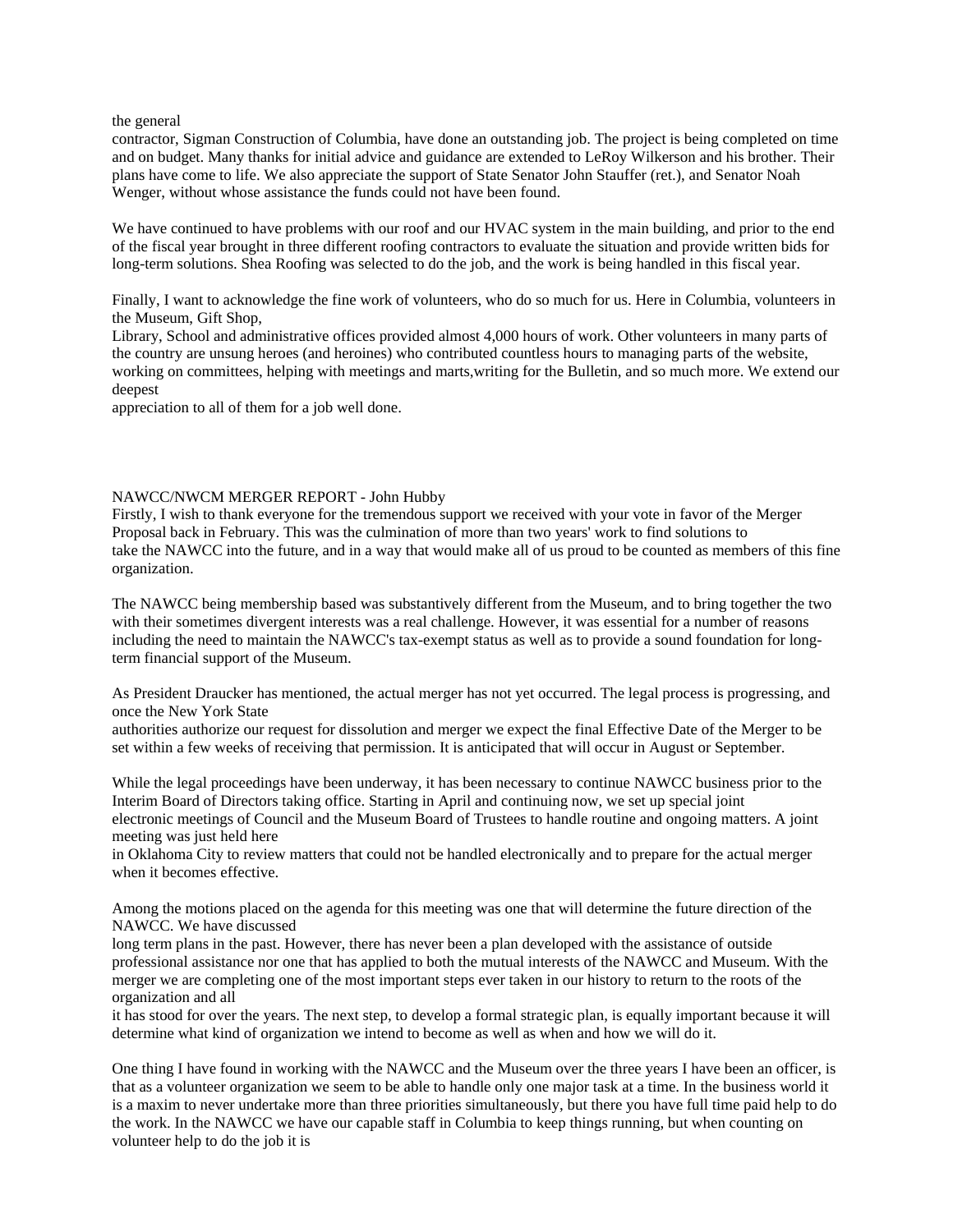the general

contractor, Sigman Construction of Columbia, have done an outstanding job. The project is being completed on time and on budget. Many thanks for initial advice and guidance are extended to LeRoy Wilkerson and his brother. Their plans have come to life. We also appreciate the support of State Senator John Stauffer (ret.), and Senator Noah Wenger, without whose assistance the funds could not have been found.

We have continued to have problems with our roof and our HVAC system in the main building, and prior to the end of the fiscal year brought in three different roofing contractors to evaluate the situation and provide written bids for long-term solutions. Shea Roofing was selected to do the job, and the work is being handled in this fiscal year.

Finally, I want to acknowledge the fine work of volunteers, who do so much for us. Here in Columbia, volunteers in the Museum, Gift Shop,

Library, School and administrative offices provided almost 4,000 hours of work. Other volunteers in many parts of the country are unsung heroes (and heroines) who contributed countless hours to managing parts of the website, working on committees, helping with meetings and marts,writing for the Bulletin, and so much more. We extend our deepest

appreciation to all of them for a job well done.

## NAWCC/NWCM MERGER REPORT - John Hubby

Firstly, I wish to thank everyone for the tremendous support we received with your vote in favor of the Merger Proposal back in February. This was the culmination of more than two years' work to find solutions to take the NAWCC into the future, and in a way that would make all of us proud to be counted as members of this fine organization.

The NAWCC being membership based was substantively different from the Museum, and to bring together the two with their sometimes divergent interests was a real challenge. However, it was essential for a number of reasons including the need to maintain the NAWCC's tax-exempt status as well as to provide a sound foundation for longterm financial support of the Museum.

As President Draucker has mentioned, the actual merger has not yet occurred. The legal process is progressing, and once the New York State

authorities authorize our request for dissolution and merger we expect the final Effective Date of the Merger to be set within a few weeks of receiving that permission. It is anticipated that will occur in August or September.

While the legal proceedings have been underway, it has been necessary to continue NAWCC business prior to the Interim Board of Directors taking office. Starting in April and continuing now, we set up special joint electronic meetings of Council and the Museum Board of Trustees to handle routine and ongoing matters. A joint meeting was just held here

in Oklahoma City to review matters that could not be handled electronically and to prepare for the actual merger when it becomes effective.

Among the motions placed on the agenda for this meeting was one that will determine the future direction of the NAWCC. We have discussed

long term plans in the past. However, there has never been a plan developed with the assistance of outside professional assistance nor one that has applied to both the mutual interests of the NAWCC and Museum. With the merger we are completing one of the most important steps ever taken in our history to return to the roots of the organization and all

it has stood for over the years. The next step, to develop a formal strategic plan, is equally important because it will determine what kind of organization we intend to become as well as when and how we will do it.

One thing I have found in working with the NAWCC and the Museum over the three years I have been an officer, is that as a volunteer organization we seem to be able to handle only one major task at a time. In the business world it is a maxim to never undertake more than three priorities simultaneously, but there you have full time paid help to do the work. In the NAWCC we have our capable staff in Columbia to keep things running, but when counting on volunteer help to do the job it is